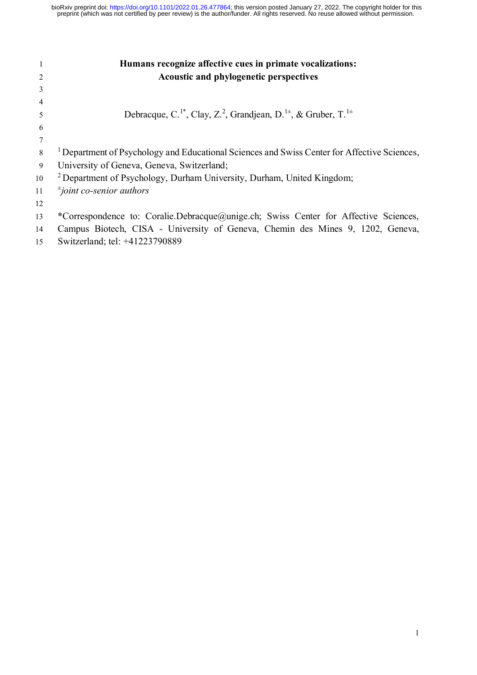|    | Humans recognize affective cues in primate vocalizations:                                                      |
|----|----------------------------------------------------------------------------------------------------------------|
| 2  | <b>Acoustic and phylogenetic perspectives</b>                                                                  |
| 3  |                                                                                                                |
| 4  |                                                                                                                |
| 5  | Debracque, C. <sup>1*</sup> , Clay, Z. <sup>2</sup> , Grandjean, D. <sup>1±</sup> , & Gruber, T. <sup>1±</sup> |
| 6  |                                                                                                                |
|    |                                                                                                                |
| 8  | <sup>1</sup> Department of Psychology and Educational Sciences and Swiss Center for Affective Sciences,        |
| 9  | University of Geneva, Geneva, Switzerland;                                                                     |
| 10 | <sup>2</sup> Department of Psychology, Durham University, Durham, United Kingdom;                              |
| 11 | $\pm$ joint co-senior authors                                                                                  |
| 12 |                                                                                                                |
| 13 | *Correspondence to: Coralie.Debracque@unige.ch; Swiss Center for Affective Sciences,                           |
| 14 | Campus Biotech, CISA - University of Geneva, Chemin des Mines 9, 1202, Geneva,                                 |
| 15 | Switzerland; tel: +41223790889                                                                                 |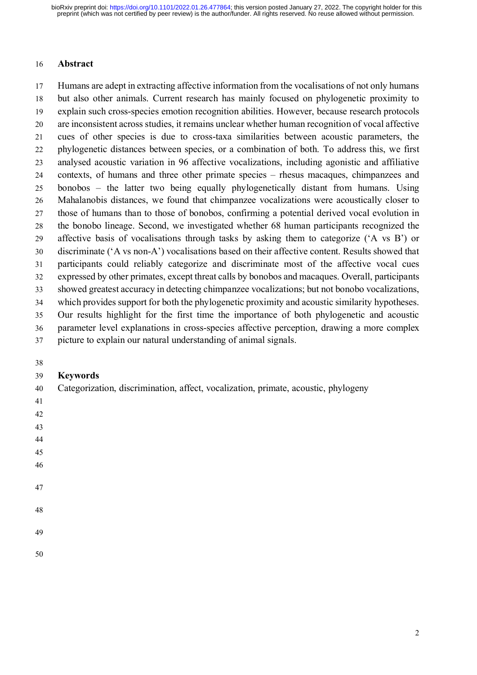#### **Abstract**

 Humans are adept in extracting affective information from the vocalisations of not only humans but also other animals. Current research has mainly focused on phylogenetic proximity to explain such cross-species emotion recognition abilities. However, because research protocols are inconsistent across studies, it remains unclear whether human recognition of vocal affective cues of other species is due to cross-taxa similarities between acoustic parameters, the phylogenetic distances between species, or a combination of both. To address this, we first analysed acoustic variation in 96 affective vocalizations, including agonistic and affiliative contexts, of humans and three other primate species – rhesus macaques, chimpanzees and bonobos – the latter two being equally phylogenetically distant from humans. Using Mahalanobis distances, we found that chimpanzee vocalizations were acoustically closer to those of humans than to those of bonobos, confirming a potential derived vocal evolution in the bonobo lineage. Second, we investigated whether 68 human participants recognized the affective basis of vocalisations through tasks by asking them to categorize ('A vs B') or discriminate ('A vs non-A') vocalisations based on their affective content. Results showed that participants could reliably categorize and discriminate most of the affective vocal cues expressed by other primates, except threat calls by bonobos and macaques. Overall, participants showed greatest accuracy in detecting chimpanzee vocalizations; but not bonobo vocalizations, which provides support for both the phylogenetic proximity and acoustic similarity hypotheses. Our results highlight for the first time the importance of both phylogenetic and acoustic parameter level explanations in cross-species affective perception, drawing a more complex picture to explain our natural understanding of animal signals.

## **Keywords**

Categorization, discrimination, affect, vocalization, primate, acoustic, phylogeny

- 
- 
- 
- 
- 
- 
- 
-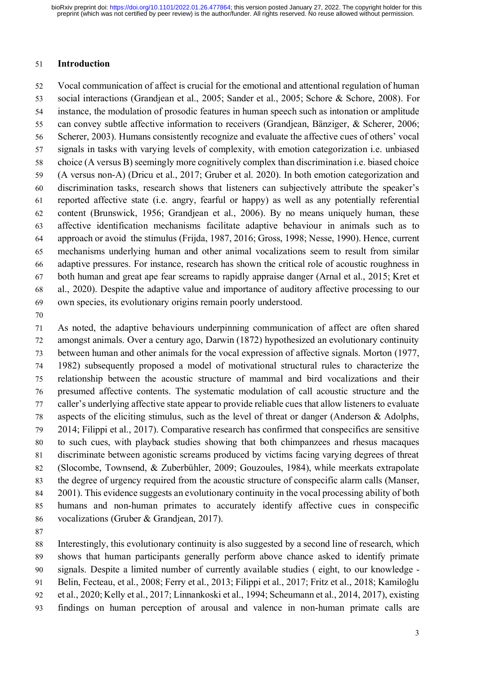#### **Introduction**

 Vocal communication of affect is crucial for the emotional and attentional regulation of human social interactions (Grandjean et al., 2005; Sander et al., 2005; Schore & Schore, 2008). For instance, the modulation of prosodic features in human speech such as intonation or amplitude can convey subtle affective information to receivers (Grandjean, Bänziger, & Scherer, 2006; Scherer, 2003). Humans consistently recognize and evaluate the affective cues of others' vocal signals in tasks with varying levels of complexity, with emotion categorization i.e. unbiased choice (A versus B) seemingly more cognitively complex than discrimination i.e. biased choice (A versus non-A) (Dricu et al., 2017; Gruber et al. 2020). In both emotion categorization and discrimination tasks, research shows that listeners can subjectively attribute the speaker's reported affective state (i.e. angry, fearful or happy) as well as any potentially referential content (Brunswick, 1956; Grandjean et al., 2006). By no means uniquely human, these affective identification mechanisms facilitate adaptive behaviour in animals such as to approach or avoid the stimulus (Frijda, 1987, 2016; Gross, 1998; Nesse, 1990). Hence, current mechanisms underlying human and other animal vocalizations seem to result from similar adaptive pressures. For instance, research has shown the critical role of acoustic roughness in both human and great ape fear screams to rapidly appraise danger (Arnal et al., 2015; Kret et al., 2020). Despite the adaptive value and importance of auditory affective processing to our own species, its evolutionary origins remain poorly understood.

 As noted, the adaptive behaviours underpinning communication of affect are often shared amongst animals. Over a century ago, Darwin (1872) hypothesized an evolutionary continuity between human and other animals for the vocal expression of affective signals. Morton (1977, 1982) subsequently proposed a model of motivational structural rules to characterize the relationship between the acoustic structure of mammal and bird vocalizations and their presumed affective contents. The systematic modulation of call acoustic structure and the caller's underlying affective state appear to provide reliable cues that allow listeners to evaluate aspects of the eliciting stimulus, such as the level of threat or danger (Anderson & Adolphs, 2014; Filippi et al., 2017). Comparative research has confirmed that conspecifics are sensitive to such cues, with playback studies showing that both chimpanzees and rhesus macaques discriminate between agonistic screams produced by victims facing varying degrees of threat (Slocombe, Townsend, & Zuberbühler, 2009; Gouzoules, 1984), while meerkats extrapolate the degree of urgency required from the acoustic structure of conspecific alarm calls (Manser, 2001). This evidence suggests an evolutionary continuity in the vocal processing ability of both humans and non-human primates to accurately identify affective cues in conspecific vocalizations (Gruber & Grandjean, 2017).

 Interestingly, this evolutionary continuity is also suggested by a second line of research, which shows that human participants generally perform above chance asked to identify primate signals. Despite a limited number of currently available studies ( eight, to our knowledge - Belin, Fecteau, et al., 2008; Ferry et al., 2013; Filippi et al., 2017; Fritz et al., 2018; Kamiloğlu et al., 2020; Kelly et al., 2017; Linnankoski et al., 1994; Scheumann et al., 2014, 2017), existing findings on human perception of arousal and valence in non-human primate calls are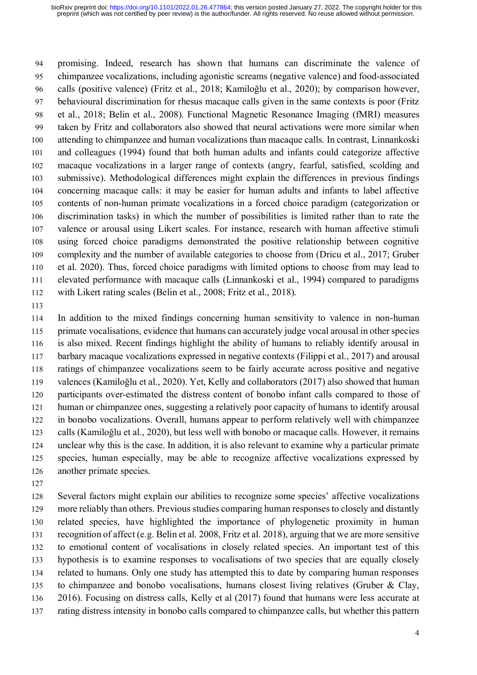promising. Indeed, research has shown that humans can discriminate the valence of chimpanzee vocalizations, including agonistic screams (negative valence) and food-associated calls (positive valence) (Fritz et al., 2018; Kamiloğlu et al., 2020); by comparison however, behavioural discrimination for rhesus macaque calls given in the same contexts is poor (Fritz et al., 2018; Belin et al., 2008). Functional Magnetic Resonance Imaging (fMRI) measures taken by Fritz and collaborators also showed that neural activations were more similar when attending to chimpanzee and human vocalizations than macaque calls. In contrast, Linnankoski and colleagues (1994) found that both human adults and infants could categorize affective macaque vocalizations in a larger range of contexts (angry, fearful, satisfied, scolding and submissive). Methodological differences might explain the differences in previous findings concerning macaque calls: it may be easier for human adults and infants to label affective contents of non-human primate vocalizations in a forced choice paradigm (categorization or discrimination tasks) in which the number of possibilities is limited rather than to rate the valence or arousal using Likert scales. For instance, research with human affective stimuli using forced choice paradigms demonstrated the positive relationship between cognitive complexity and the number of available categories to choose from (Dricu et al., 2017; Gruber et al. 2020). Thus, forced choice paradigms with limited options to choose from may lead to elevated performance with macaque calls (Linnankoski et al., 1994) compared to paradigms with Likert rating scales (Belin et al., 2008; Fritz et al., 2018).

 In addition to the mixed findings concerning human sensitivity to valence in non-human primate vocalisations, evidence that humans can accurately judge vocal arousal in other species is also mixed. Recent findings highlight the ability of humans to reliably identify arousal in barbary macaque vocalizations expressed in negative contexts (Filippi et al., 2017) and arousal ratings of chimpanzee vocalizations seem to be fairly accurate across positive and negative valences (Kamiloğlu et al., 2020). Yet, Kelly and collaborators (2017) also showed that human participants over-estimated the distress content of bonobo infant calls compared to those of human or chimpanzee ones, suggesting a relatively poor capacity of humans to identify arousal in bonobo vocalizations. Overall, humans appear to perform relatively well with chimpanzee calls (Kamiloğlu et al., 2020), but less well with bonobo or macaque calls. However, it remains unclear why this is the case. In addition, it is also relevant to examine why a particular primate species, human especially, may be able to recognize affective vocalizations expressed by another primate species.

 Several factors might explain our abilities to recognize some species' affective vocalizations more reliably than others. Previous studies comparing human responses to closely and distantly related species, have highlighted the importance of phylogenetic proximity in human recognition of affect (e.g. Belin et al. 2008, Fritz et al. 2018), arguing that we are more sensitive to emotional content of vocalisations in closely related species. An important test of this hypothesis is to examine responses to vocalisations of two species that are equally closely related to humans. Only one study has attempted this to date by comparing human responses to chimpanzee and bonobo vocalisations, humans closest living relatives (Gruber & Clay, 2016). Focusing on distress calls, Kelly et al (2017) found that humans were less accurate at rating distress intensity in bonobo calls compared to chimpanzee calls, but whether this pattern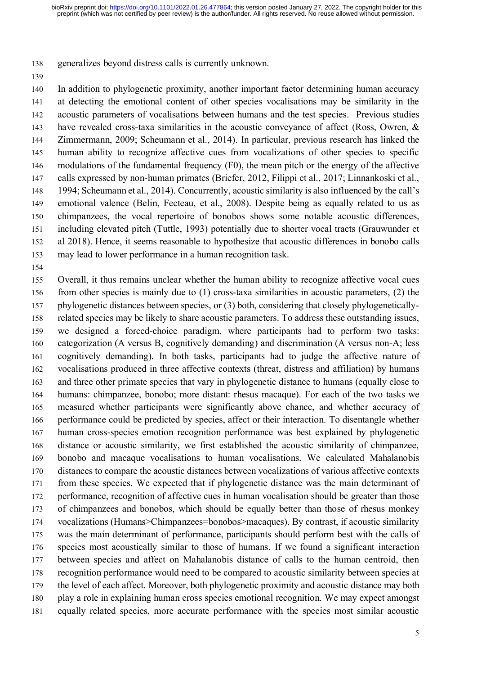generalizes beyond distress calls is currently unknown.

 In addition to phylogenetic proximity, another important factor determining human accuracy at detecting the emotional content of other species vocalisations may be similarity in the acoustic parameters of vocalisations between humans and the test species. Previous studies have revealed cross-taxa similarities in the acoustic conveyance of affect (Ross, Owren, & Zimmermann, 2009; Scheumann et al., 2014). In particular, previous research has linked the 145 human ability to recognize affective cues from vocalizations of other species to specific modulations of the fundamental frequency (F0), the mean pitch or the energy of the affective calls expressed by non-human primates (Briefer, 2012, Filippi et al., 2017; Linnankoski et al., 1994; Scheumann et al., 2014). Concurrently, acoustic similarity is also influenced by the call's emotional valence (Belin, Fecteau, et al., 2008). Despite being as equally related to us as chimpanzees, the vocal repertoire of bonobos shows some notable acoustic differences, including elevated pitch (Tuttle, 1993) potentially due to shorter vocal tracts (Grauwunder et al 2018). Hence, it seems reasonable to hypothesize that acoustic differences in bonobo calls may lead to lower performance in a human recognition task.

 Overall, it thus remains unclear whether the human ability to recognize affective vocal cues from other species is mainly due to (1) cross-taxa similarities in acoustic parameters, (2) the phylogenetic distances between species, or (3) both, considering that closely phylogenetically- related species may be likely to share acoustic parameters. To address these outstanding issues, we designed a forced-choice paradigm, where participants had to perform two tasks: categorization (A versus B, cognitively demanding) and discrimination (A versus non-A; less cognitively demanding). In both tasks, participants had to judge the affective nature of vocalisations produced in three affective contexts (threat, distress and affiliation) by humans and three other primate species that vary in phylogenetic distance to humans (equally close to humans: chimpanzee, bonobo; more distant: rhesus macaque). For each of the two tasks we measured whether participants were significantly above chance, and whether accuracy of performance could be predicted by species, affect or their interaction. To disentangle whether human cross-species emotion recognition performance was best explained by phylogenetic distance or acoustic similarity, we first established the acoustic similarity of chimpanzee, bonobo and macaque vocalisations to human vocalisations. We calculated Mahalanobis distances to compare the acoustic distances between vocalizations of various affective contexts from these species. We expected that if phylogenetic distance was the main determinant of 172 performance, recognition of affective cues in human vocalisation should be greater than those of chimpanzees and bonobos, which should be equally better than those of rhesus monkey vocalizations (Humans>Chimpanzees=bonobos>macaques). By contrast, if acoustic similarity was the main determinant of performance, participants should perform best with the calls of species most acoustically similar to those of humans. If we found a significant interaction between species and affect on Mahalanobis distance of calls to the human centroid, then recognition performance would need to be compared to acoustic similarity between species at the level of each affect. Moreover, both phylogenetic proximity and acoustic distance may both play a role in explaining human cross species emotional recognition. We may expect amongst equally related species, more accurate performance with the species most similar acoustic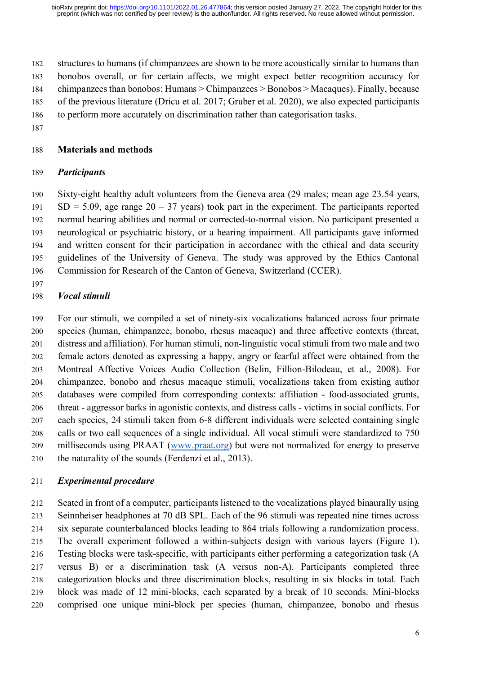structures to humans (if chimpanzees are shown to be more acoustically similar to humans than bonobos overall, or for certain affects, we might expect better recognition accuracy for chimpanzees than bonobos: Humans > Chimpanzees > Bonobos > Macaques). Finally, because of the previous literature (Dricu et al. 2017; Gruber et al. 2020), we also expected participants to perform more accurately on discrimination rather than categorisation tasks.

## **Materials and methods**

## *Participants*

 Sixty-eight healthy adult volunteers from the Geneva area (29 males; mean age 23.54 years, 191 SD = 5.09, age range  $20 - 37$  years) took part in the experiment. The participants reported normal hearing abilities and normal or corrected-to-normal vision. No participant presented a neurological or psychiatric history, or a hearing impairment. All participants gave informed and written consent for their participation in accordance with the ethical and data security guidelines of the University of Geneva. The study was approved by the Ethics Cantonal Commission for Research of the Canton of Geneva, Switzerland (CCER).

## *Vocal stimuli*

 For our stimuli, we compiled a set of ninety-six vocalizations balanced across four primate species (human, chimpanzee, bonobo, rhesus macaque) and three affective contexts (threat, distress and affiliation). For human stimuli, non-linguistic vocal stimuli from two male and two female actors denoted as expressing a happy, angry or fearful affect were obtained from the Montreal Affective Voices Audio Collection (Belin, Fillion-Bilodeau, et al., 2008). For chimpanzee, bonobo and rhesus macaque stimuli, vocalizations taken from existing author databases were compiled from corresponding contexts: affiliation - food-associated grunts, threat - aggressor barks in agonistic contexts, and distress calls - victims in social conflicts. For each species, 24 stimuli taken from 6-8 different individuals were selected containing single calls or two call sequences of a single individual. All vocal stimuli were standardized to 750 milliseconds using PRAAT [\(www.praat.org\)](http://www.praat.org/) but were not normalized for energy to preserve the naturality of the sounds (Ferdenzi et al., 2013).

## *Experimental procedure*

 Seated in front of a computer, participants listened to the vocalizations played binaurally using Seinnheiser headphones at 70 dB SPL. Each of the 96 stimuli was repeated nine times across six separate counterbalanced blocks leading to 864 trials following a randomization process. The overall experiment followed a within-subjects design with various layers (Figure 1). Testing blocks were task-specific, with participants either performing a categorization task (A versus B) or a discrimination task (A versus non-A). Participants completed three categorization blocks and three discrimination blocks, resulting in six blocks in total. Each block was made of 12 mini-blocks, each separated by a break of 10 seconds. Mini-blocks comprised one unique mini-block per species (human, chimpanzee, bonobo and rhesus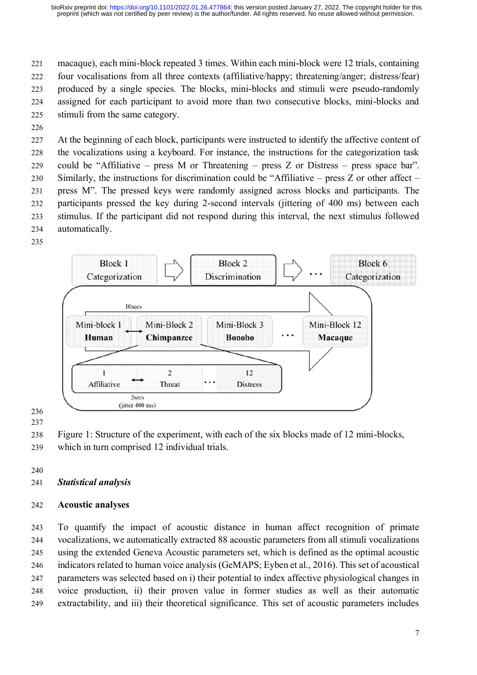#### preprint (which was not certified by peer review) is the author/funder. All rights reserved. No reuse allowed without permission. bioRxiv preprint doi: [https://doi.org/10.1101/2022.01.26.477864;](https://doi.org/10.1101/2022.01.26.477864) this version posted January 27, 2022. The copyright holder for this

 macaque), each mini-block repeated 3 times. Within each mini-block were 12 trials, containing four vocalisations from all three contexts (affiliative/happy; threatening/anger; distress/fear) produced by a single species. The blocks, mini-blocks and stimuli were pseudo-randomly assigned for each participant to avoid more than two consecutive blocks, mini-blocks and stimuli from the same category.

 At the beginning of each block, participants were instructed to identify the affective content of the vocalizations using a keyboard. For instance, the instructions for the categorization task could be "Affiliative – press M or Threatening – press Z or Distress – press space bar". Similarly, the instructions for discrimination could be "Affiliative – press Z or other affect – press M". The pressed keys were randomly assigned across blocks and participants. The participants pressed the key during 2-second intervals (jittering of 400 ms) between each stimulus. If the participant did not respond during this interval, the next stimulus followed automatically.



Figure 1: Structure of the experiment, with each of the six blocks made of 12 mini-blocks,

- which in turn comprised 12 individual trials.
- 
- *Statistical analysis*

# **Acoustic analyses**

 To quantify the impact of acoustic distance in human affect recognition of primate vocalizations, we automatically extracted 88 acoustic parameters from all stimuli vocalizations using the extended Geneva Acoustic parameters set, which is defined as the optimal acoustic indicators related to human voice analysis (GeMAPS; Eyben et al., 2016). This set of acoustical parameters was selected based on i) their potential to index affective physiological changes in voice production, ii) their proven value in former studies as well as their automatic extractability, and iii) their theoretical significance. This set of acoustic parameters includes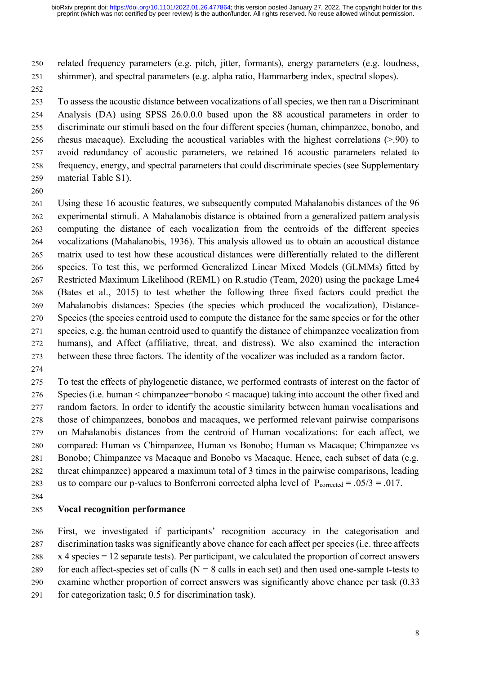related frequency parameters (e.g. pitch, jitter, formants), energy parameters (e.g. loudness, shimmer), and spectral parameters (e.g. alpha ratio, Hammarberg index, spectral slopes).

 To assess the acoustic distance between vocalizations of all species, we then ran a Discriminant Analysis (DA) using SPSS 26.0.0.0 based upon the 88 acoustical parameters in order to discriminate our stimuli based on the four different species (human, chimpanzee, bonobo, and rhesus macaque). Excluding the acoustical variables with the highest correlations (>.90) to avoid redundancy of acoustic parameters, we retained 16 acoustic parameters related to frequency, energy, and spectral parameters that could discriminate species (see Supplementary material Table S1).

 Using these 16 acoustic features, we subsequently computed Mahalanobis distances of the 96 experimental stimuli. A Mahalanobis distance is obtained from a generalized pattern analysis computing the distance of each vocalization from the centroids of the different species vocalizations (Mahalanobis, 1936). This analysis allowed us to obtain an acoustical distance matrix used to test how these acoustical distances were differentially related to the different species. To test this, we performed Generalized Linear Mixed Models (GLMMs) fitted by Restricted Maximum Likelihood (REML) on R.studio (Team, 2020) using the package Lme4 (Bates et al., 2015) to test whether the following three fixed factors could predict the Mahalanobis distances: Species (the species which produced the vocalization), Distance- Species (the species centroid used to compute the distance for the same species or for the other species, e.g. the human centroid used to quantify the distance of chimpanzee vocalization from humans), and Affect (affiliative, threat, and distress). We also examined the interaction between these three factors. The identity of the vocalizer was included as a random factor.

 To test the effects of phylogenetic distance, we performed contrasts of interest on the factor of Species (i.e. human < chimpanzee=bonobo < macaque) taking into account the other fixed and random factors. In order to identify the acoustic similarity between human vocalisations and those of chimpanzees, bonobos and macaques, we performed relevant pairwise comparisons on Mahalanobis distances from the centroid of Human vocalizations: for each affect, we compared: Human vs Chimpanzee, Human vs Bonobo; Human vs Macaque; Chimpanzee vs Bonobo; Chimpanzee vs Macaque and Bonobo vs Macaque. Hence, each subset of data (e.g. threat chimpanzee) appeared a maximum total of 3 times in the pairwise comparisons, leading 283 us to compare our p-values to Bonferroni corrected alpha level of  $P_{corrected} = .05/3 = .017$ .

## **Vocal recognition performance**

 First, we investigated if participants' recognition accuracy in the categorisation and 287 discrimination tasks was significantly above chance for each affect per species (i.e. three affects x 4 species = 12 separate tests). Per participant, we calculated the proportion of correct answers 289 for each affect-species set of calls  $(N = 8$  calls in each set) and then used one-sample t-tests to examine whether proportion of correct answers was significantly above chance per task (0.33 for categorization task; 0.5 for discrimination task).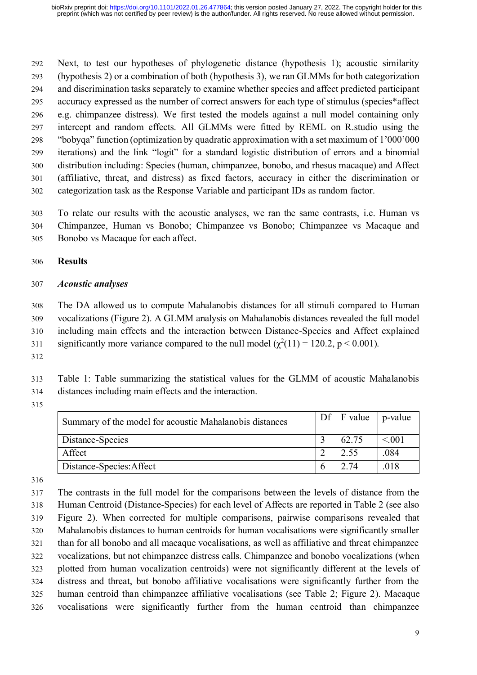Next, to test our hypotheses of phylogenetic distance (hypothesis 1); acoustic similarity (hypothesis 2) or a combination of both (hypothesis 3), we ran GLMMs for both categorization and discrimination tasks separately to examine whether species and affect predicted participant accuracy expressed as the number of correct answers for each type of stimulus (species\*affect e.g. chimpanzee distress). We first tested the models against a null model containing only intercept and random effects. All GLMMs were fitted by REML on R.studio using the "bobyqa" function (optimization by quadratic approximation with a set maximum of 1'000'000 iterations) and the link "logit" for a standard logistic distribution of errors and a binomial distribution including: Species (human, chimpanzee, bonobo, and rhesus macaque) and Affect (affiliative, threat, and distress) as fixed factors, accuracy in either the discrimination or categorization task as the Response Variable and participant IDs as random factor.

 To relate our results with the acoustic analyses, we ran the same contrasts, i.e. Human vs Chimpanzee, Human vs Bonobo; Chimpanzee vs Bonobo; Chimpanzee vs Macaque and Bonobo vs Macaque for each affect.

## **Results**

#### *Acoustic analyses*

 The DA allowed us to compute Mahalanobis distances for all stimuli compared to Human vocalizations (Figure 2). A GLMM analysis on Mahalanobis distances revealed the full model including main effects and the interaction between Distance-Species and Affect explained 311 significantly more variance compared to the null model  $(\chi^2(11) = 120.2, p < 0.001)$ .

 Table 1: Table summarizing the statistical values for the GLMM of acoustic Mahalanobis distances including main effects and the interaction.

| Summary of the model for acoustic Mahalanobis distances | $\mid$ Df $\mid$ F value $\mid$ | p-value     |
|---------------------------------------------------------|---------------------------------|-------------|
| Distance-Species                                        | 62.75                           | $\leq 0.01$ |
| Affect                                                  | 2.55                            | .084        |
| Distance-Species: Affect                                | 2.74                            | .018        |

 The contrasts in the full model for the comparisons between the levels of distance from the Human Centroid (Distance-Species) for each level of Affects are reported in Table 2 (see also Figure 2). When corrected for multiple comparisons, pairwise comparisons revealed that Mahalanobis distances to human centroids for human vocalisations were significantly smaller than for all bonobo and all macaque vocalisations, as well as affiliative and threat chimpanzee vocalizations, but not chimpanzee distress calls. Chimpanzee and bonobo vocalizations (when plotted from human vocalization centroids) were not significantly different at the levels of distress and threat, but bonobo affiliative vocalisations were significantly further from the human centroid than chimpanzee affiliative vocalisations (see Table 2; Figure 2). Macaque vocalisations were significantly further from the human centroid than chimpanzee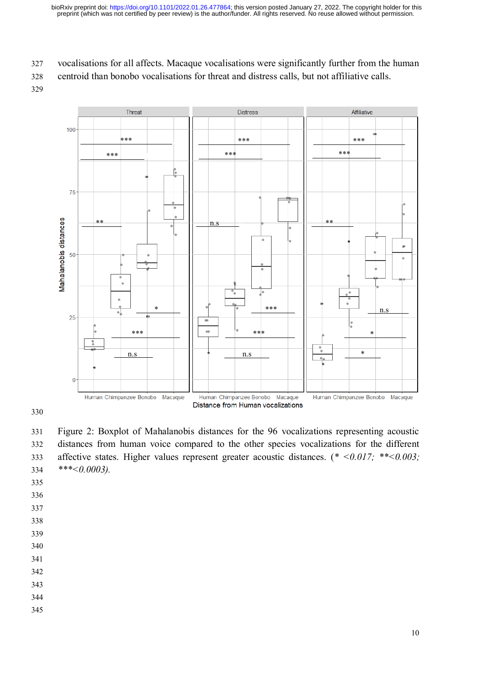327 vocalisations for all affects. Macaque vocalisations were significantly further from the human

328 centroid than bonobo vocalisations for threat and distress calls, but not affiliative calls.

329



330

331 Figure 2: Boxplot of Mahalanobis distances for the 96 vocalizations representing acoustic 332 distances from human voice compared to the other species vocalizations for the different 333 affective states. Higher values represent greater acoustic distances. (*\* <0.017; \*\*<0.003;*  334 *\*\*\*<0.0003).*

335

- 336
- 337
- 338
- 339

- 341 342
- 
- 343
- 344 345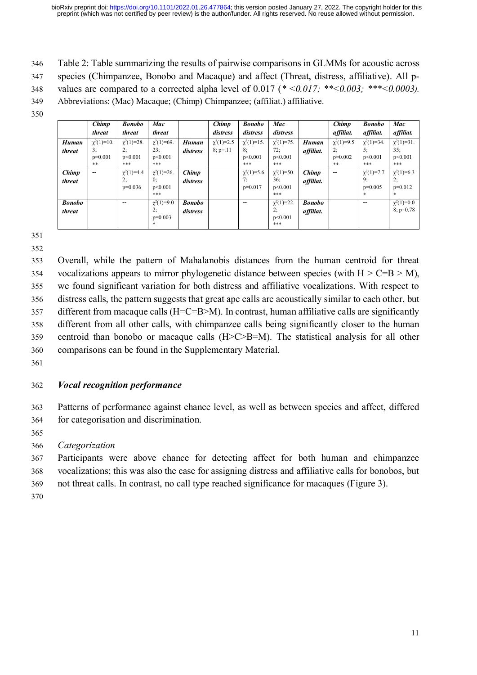- 346 Table 2: Table summarizing the results of pairwise comparisons in GLMMs for acoustic across
- 347 species (Chimpanzee, Bonobo and Macaque) and affect (Threat, distress, affiliative). All p-
- 348 values are compared to a corrected alpha level of 0.017 (*\* <0.017; \*\*<0.003; \*\*\*<0.0003).*
- 349 Abbreviations: (Mac) Macaque; (Chimp) Chimpanzee; (affiliat.) affiliative.
- 350

|                         | Chimp<br>threat                           | <b>Bonobo</b><br>threat                  | Mac<br>threat                             |                           | Chimp<br>distress              | <b>Bonobo</b><br>distress                | Mac<br>distress                           |                            | <b>Chimp</b><br>affiliat.                | <b>Bonobo</b><br>affiliat.                     | Mac<br>affiliat.                          |
|-------------------------|-------------------------------------------|------------------------------------------|-------------------------------------------|---------------------------|--------------------------------|------------------------------------------|-------------------------------------------|----------------------------|------------------------------------------|------------------------------------------------|-------------------------------------------|
| <b>Human</b><br>threat  | $\chi^2(1)=10$ .<br>3:<br>$p=0.001$<br>** | $\chi^2(1)=28$ .<br>2:<br>p<0.001<br>*** | $\chi^2(1)=69$ .<br>23:<br>p<0.001<br>*** | Human<br>distress         | $\chi^2(1)=2.5$<br>$8: p = 11$ | $\chi^2(1)=15$ .<br>8:<br>p<0.001<br>*** | $\chi^2(1)=75$ .<br>72;<br>p<0.001<br>*** | <b>Human</b><br>affiliat.  | $\chi^2(1)=9.5$<br>2:<br>$p=0.002$<br>** | $\chi^2(1)=34$ .<br>5:<br>p<0.001<br>***       | $\chi^2(1)=31$ .<br>35:<br>p<0.001<br>*** |
| Chimp<br>threat         | $- -$                                     | $\chi^2(1)=4.4$<br>2;<br>$p=0.036$       | $\chi^2(1)=26$ .<br>0:<br>p<0.001<br>***  | Chimp<br>distress         |                                | $\gamma^2(1)=5.6$<br>7:<br>$p=0.017$     | $\chi^2(1)=50$ .<br>36:<br>p<0.001<br>*** | Chimp<br>affiliat.         | $\overline{\phantom{m}}$                 | $\gamma^2(1)=7.7$<br>9:<br>$p=0.005$<br>$\ast$ | $\chi^2(1)=6.3$<br>2:<br>$p=0.012$<br>*   |
| <b>Bonobo</b><br>threat |                                           | $- -$                                    | $\chi^2(1)=9.0$<br>2:<br>$p=0.003$<br>*   | <b>Bonobo</b><br>distress |                                | $\overline{\phantom{m}}$                 | $\chi^2(1)=22$ .<br>2:<br>p<0.001<br>***  | <b>Bonobo</b><br>affiliat. |                                          | --                                             | $\chi^2(1)=0.0$<br>$8: p=0.78$            |

352

 Overall, while the pattern of Mahalanobis distances from the human centroid for threat 354 vocalizations appears to mirror phylogenetic distance between species (with  $H > C=B > M$ ), we found significant variation for both distress and affiliative vocalizations. With respect to distress calls, the pattern suggests that great ape calls are acoustically similar to each other, but different from macaque calls (H=C=B>M). In contrast, human affiliative calls are significantly different from all other calls, with chimpanzee calls being significantly closer to the human centroid than bonobo or macaque calls (H>C>B=M). The statistical analysis for all other comparisons can be found in the Supplementary Material.

361

# 362 *Vocal recognition performance*

363 Patterns of performance against chance level, as well as between species and affect, differed 364 for categorisation and discrimination.

365

366 *Categorization*

367 Participants were above chance for detecting affect for both human and chimpanzee 368 vocalizations; this was also the case for assigning distress and affiliative calls for bonobos, but

369 not threat calls. In contrast, no call type reached significance for macaques (Figure 3).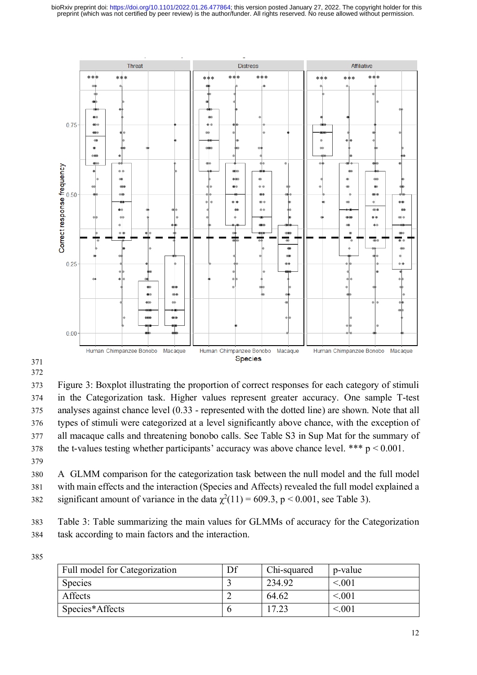

 

 Figure 3: Boxplot illustrating the proportion of correct responses for each category of stimuli in the Categorization task. Higher values represent greater accuracy. One sample T-test analyses against chance level (0.33 - represented with the dotted line) are shown. Note that all types of stimuli were categorized at a level significantly above chance, with the exception of all macaque calls and threatening bonobo calls. See Table S3 in Sup Mat for the summary of 378 the t-values testing whether participants' accuracy was above chance level. \*\*\*  $p < 0.001$ . 

 A GLMM comparison for the categorization task between the null model and the full model with main effects and the interaction (Species and Affects) revealed the full model explained a significant amount of variance in the data  $\chi^2(11) = 609.3$ , p < 0.001, see Table 3).

 Table 3: Table summarizing the main values for GLMMs of accuracy for the Categorization task according to main factors and the interaction.

| Full model for Categorization | Chi-squared | p-value |
|-------------------------------|-------------|---------|
| Species                       | 234.92      | < 0.001 |
| Affects                       | 64.62       | < 0.01  |
| Species*Affects               | 17.23       | < 0.001 |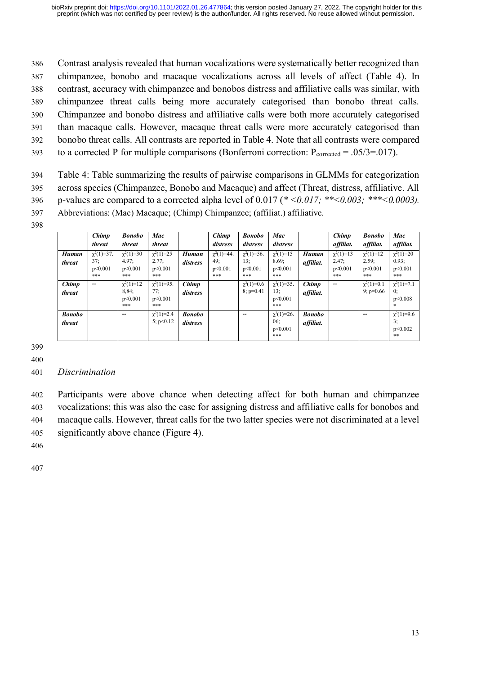Contrast analysis revealed that human vocalizations were systematically better recognized than chimpanzee, bonobo and macaque vocalizations across all levels of affect (Table 4). In contrast, accuracy with chimpanzee and bonobos distress and affiliative calls was similar, with chimpanzee threat calls being more accurately categorised than bonobo threat calls. Chimpanzee and bonobo distress and affiliative calls were both more accurately categorised than macaque calls. However, macaque threat calls were more accurately categorised than bonobo threat calls. All contrasts are reported in Table 4. Note that all contrasts were compared

393 to a corrected P for multiple comparisons (Bonferroni correction:  $P_{\text{corrected}} = .05/3 = .017$ ).

394 Table 4: Table summarizing the results of pairwise comparisons in GLMMs for categorization 395 across species (Chimpanzee, Bonobo and Macaque) and affect (Threat, distress, affiliative. All 396 p-values are compared to a corrected alpha level of 0.017 (*\* <0.017; \*\*<0.003; \*\*\*<0.0003).*

- 397 Abbreviations: (Mac) Macaque; (Chimp) Chimpanzee; (affiliat.) affiliative.
- 398

|                         | Chimp<br>threat                           | <b>Bonobo</b><br>threat                   | Mac<br>threat                             |                           | Chimp<br>distress                         | <b>Bonobo</b><br>distress                 | Mac<br>distress                             |                            | Chimp<br>affiliat.                        | <b>Bonobo</b><br>affiliat.                | Mac<br>affiliat.                          |
|-------------------------|-------------------------------------------|-------------------------------------------|-------------------------------------------|---------------------------|-------------------------------------------|-------------------------------------------|---------------------------------------------|----------------------------|-------------------------------------------|-------------------------------------------|-------------------------------------------|
| Human<br>threat         | $\chi^2(1)=37$ .<br>37:<br>p<0.001<br>*** | $\chi^2(1)=30$<br>4.97:<br>p<0.001<br>*** | $\chi^2(1)=25$<br>2.77:<br>p<0.001<br>*** | <b>Human</b><br>distress  | $\chi^2(1)=44$ .<br>49:<br>p<0.001<br>*** | $\chi^2(1)=56$ .<br>13:<br>p<0.001<br>*** | $\chi^2(1)=15$<br>8.69;<br>p<0.001<br>***   | <b>Human</b><br>affiliat.  | $\chi^2(1)=13$<br>2.47:<br>p<0.001<br>*** | $\chi^2(1)=12$<br>2.59:<br>p<0.001<br>*** | $\chi^2(1)=20$<br>0.93:<br>p<0.001<br>*** |
| Chimp<br>threat         | $\overline{\phantom{m}}$                  | $\chi^2(1)=12$<br>8,84;<br>p<0.001<br>*** | $\chi^2(1)=95$ .<br>77:<br>p<0.001<br>*** | Chimp<br>distress         |                                           | $\chi^2(1)=0.6$<br>$8: p=0.41$            | $\chi^2(1)=35$ .<br>13:<br>p<0.001<br>***   | Chimp<br>affiliat.         | $\overline{\phantom{m}}$                  | $\chi^2(1)=0.1$<br>$9: p=0.66$            | $\chi^2(1)=7.1$<br>0:<br>p<0.008          |
| <b>Bonobo</b><br>threat |                                           | $\overline{\phantom{m}}$                  | $\chi^2(1)=2.4$<br>5: p<0.12              | <b>Bonobo</b><br>distress |                                           | --                                        | $\gamma^2(1)=26$ .<br>06:<br>p<0.001<br>*** | <b>Bonobo</b><br>affiliat. |                                           | --                                        | $\chi^2(1)=9.6$<br>3:<br>p<0.002<br>**    |

399 400

# 401 *Discrimination*

 Participants were above chance when detecting affect for both human and chimpanzee vocalizations; this was also the case for assigning distress and affiliative calls for bonobos and macaque calls. However, threat calls for the two latter species were not discriminated at a level significantly above chance (Figure 4).

406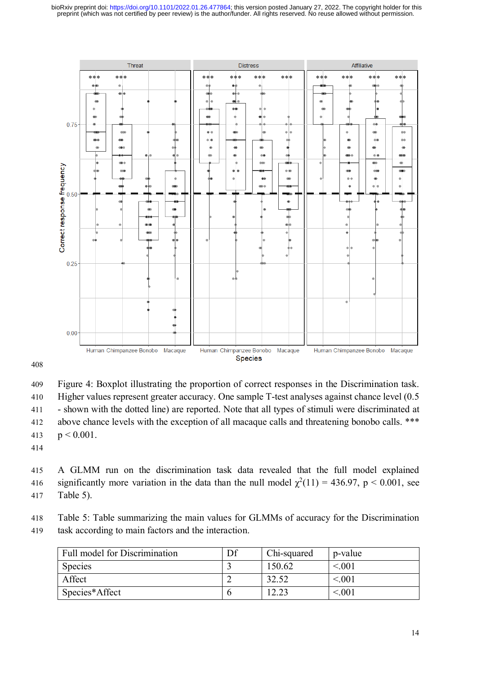

409 Figure 4: Boxplot illustrating the proportion of correct responses in the Discrimination task. 410 Higher values represent greater accuracy. One sample T-test analyses against chance level (0.5 411 - shown with the dotted line) are reported. Note that all types of stimuli were discriminated at 412 above chance levels with the exception of all macaque calls and threatening bonobo calls. \*\*\* 413  $p < 0.001$ .

414

415 A GLMM run on the discrimination task data revealed that the full model explained 416 significantly more variation in the data than the null model  $\chi^2(11) = 436.97$ , p < 0.001, see 417 Table 5).

418 Table 5: Table summarizing the main values for GLMMs of accuracy for the Discrimination 419 task according to main factors and the interaction.

| Full model for Discrimination | Df | Chi-squared | p-value |
|-------------------------------|----|-------------|---------|
| <b>Species</b>                |    | 150.62      | < 0.01  |
| Affect                        |    | 32.52       | < 0.01  |
| Species*Affect                |    | 12.23       | < 001   |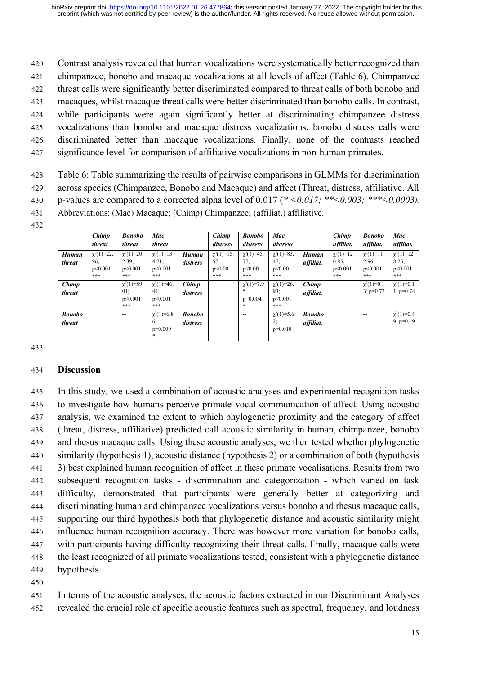Contrast analysis revealed that human vocalizations were systematically better recognized than chimpanzee, bonobo and macaque vocalizations at all levels of affect (Table 6). Chimpanzee threat calls were significantly better discriminated compared to threat calls of both bonobo and macaques, whilst macaque threat calls were better discriminated than bonobo calls. In contrast, while participants were again significantly better at discriminating chimpanzee distress vocalizations than bonobo and macaque distress vocalizations, bonobo distress calls were discriminated better than macaque vocalizations. Finally, none of the contrasts reached significance level for comparison of affiliative vocalizations in non-human primates.

428 Table 6: Table summarizing the results of pairwise comparisons in GLMMs for discrimination 429 across species (Chimpanzee, Bonobo and Macaque) and affect (Threat, distress, affiliative. All 430 p-values are compared to a corrected alpha level of 0.017 (*\* <0.017; \*\*<0.003; \*\*\*<0.0003).*

- 431 Abbreviations: (Mac) Macaque; (Chimp) Chimpanzee; (affiliat.) affiliative.
- 432

|                         | Chimp<br>threat                           | <b>Bonobo</b><br>threat                   | Mac<br>threat                             |                           | <b>Chimp</b><br>distress                  | <b>Bonobo</b><br>distress                 | Mac<br>distress                           |                            | Chimp<br>affiliat.                        | <b>Bonobo</b><br>affiliat.                | Mac<br>affiliat.                          |
|-------------------------|-------------------------------------------|-------------------------------------------|-------------------------------------------|---------------------------|-------------------------------------------|-------------------------------------------|-------------------------------------------|----------------------------|-------------------------------------------|-------------------------------------------|-------------------------------------------|
| <b>Human</b><br>threat  | $\chi^2(1)=22$ .<br>96;<br>p<0.001<br>*** | $\chi^2(1)=20$<br>2.39;<br>p<0.001<br>*** | $\chi^2(1)=13$<br>4.71:<br>p<0.001<br>*** | Human<br>distress         | $\chi^2(1)=15$ .<br>57:<br>p<0.001<br>*** | $\chi^2(1)=45$ .<br>77:<br>p<0.001<br>*** | $\chi^2(1)=83$ .<br>47:<br>p<0.001<br>*** | <b>Human</b><br>affiliat.  | $\chi^2(1)=12$<br>0.85:<br>p<0.001<br>*** | $\chi^2(1)=11$<br>2.96:<br>p<0.001<br>*** | $\chi^2(1)=12$<br>8.25:<br>p<0.001<br>*** |
| Chimp<br>threat         | $\overline{\phantom{m}}$                  | $\chi^2(1)=89$ .<br>01:<br>p<0.001<br>*** | $\chi^2(1)=46$ .<br>44;<br>p<0.001<br>*** | Chimp<br>distress         |                                           | $\chi^2(1)=7.9$<br>5:<br>$p=0.004$<br>$*$ | $\chi^2(1)=26$ .<br>93:<br>p<0.001<br>*** | Chimp<br>affiliat.         | $\overline{\phantom{m}}$                  | $\chi^2(1)=0.1$<br>$3: p=0.72$            | $\chi^2(1)=0.1$<br>$1$ ; $p=0.74$         |
| <b>Bonobo</b><br>threat |                                           | $- -$                                     | $\gamma^2(1)=6.8$<br>6<br>$p=0.009$<br>*  | <b>Bonobo</b><br>distress |                                           | $- -$                                     | $\chi^2(1)=5.6$<br>2;<br>$p=0.018$        | <b>Bonobo</b><br>affiliat. |                                           | --                                        | $\chi^2(1)=0.4$<br>$9$ ; $p=0.49$         |

433

## 434 **Discussion**

 In this study, we used a combination of acoustic analyses and experimental recognition tasks to investigate how humans perceive primate vocal communication of affect. Using acoustic analysis, we examined the extent to which phylogenetic proximity and the category of affect (threat, distress, affiliative) predicted call acoustic similarity in human, chimpanzee, bonobo and rhesus macaque calls. Using these acoustic analyses, we then tested whether phylogenetic similarity (hypothesis 1), acoustic distance (hypothesis 2) or a combination of both (hypothesis 3) best explained human recognition of affect in these primate vocalisations. Results from two subsequent recognition tasks - discrimination and categorization - which varied on task difficulty, demonstrated that participants were generally better at categorizing and discriminating human and chimpanzee vocalizations versus bonobo and rhesus macaque calls, supporting our third hypothesis both that phylogenetic distance and acoustic similarity might influence human recognition accuracy. There was however more variation for bonobo calls, with participants having difficulty recognizing their threat calls. Finally, macaque calls were the least recognized of all primate vocalizations tested, consistent with a phylogenetic distance hypothesis.

450

451 In terms of the acoustic analyses, the acoustic factors extracted in our Discriminant Analyses 452 revealed the crucial role of specific acoustic features such as spectral, frequency, and loudness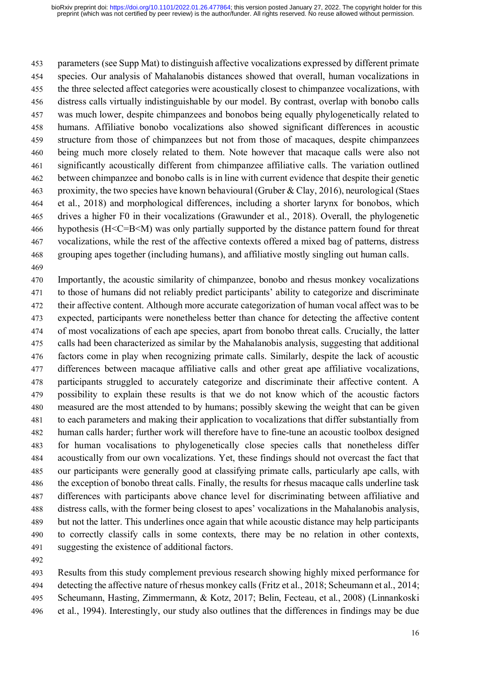parameters (see Supp Mat) to distinguish affective vocalizations expressed by different primate species. Our analysis of Mahalanobis distances showed that overall, human vocalizations in 455 the three selected affect categories were acoustically closest to chimpanzee vocalizations, with distress calls virtually indistinguishable by our model. By contrast, overlap with bonobo calls was much lower, despite chimpanzees and bonobos being equally phylogenetically related to humans. Affiliative bonobo vocalizations also showed significant differences in acoustic structure from those of chimpanzees but not from those of macaques, despite chimpanzees being much more closely related to them. Note however that macaque calls were also not significantly acoustically different from chimpanzee affiliative calls. The variation outlined between chimpanzee and bonobo calls is in line with current evidence that despite their genetic proximity, the two species have known behavioural (Gruber & Clay, 2016), neurological (Staes et al., 2018) and morphological differences, including a shorter larynx for bonobos, which drives a higher F0 in their vocalizations (Grawunder et al., 2018). Overall, the phylogenetic hypothesis (H<C=B<M) was only partially supported by the distance pattern found for threat vocalizations, while the rest of the affective contexts offered a mixed bag of patterns, distress grouping apes together (including humans), and affiliative mostly singling out human calls. 

 Importantly, the acoustic similarity of chimpanzee, bonobo and rhesus monkey vocalizations to those of humans did not reliably predict participants' ability to categorize and discriminate their affective content. Although more accurate categorization of human vocal affect was to be expected, participants were nonetheless better than chance for detecting the affective content of most vocalizations of each ape species, apart from bonobo threat calls. Crucially, the latter calls had been characterized as similar by the Mahalanobis analysis, suggesting that additional factors come in play when recognizing primate calls. Similarly, despite the lack of acoustic differences between macaque affiliative calls and other great ape affiliative vocalizations, participants struggled to accurately categorize and discriminate their affective content. A possibility to explain these results is that we do not know which of the acoustic factors measured are the most attended to by humans; possibly skewing the weight that can be given to each parameters and making their application to vocalizations that differ substantially from human calls harder; further work will therefore have to fine-tune an acoustic toolbox designed for human vocalisations to phylogenetically close species calls that nonetheless differ acoustically from our own vocalizations. Yet, these findings should not overcast the fact that our participants were generally good at classifying primate calls, particularly ape calls, with the exception of bonobo threat calls. Finally, the results for rhesus macaque calls underline task differences with participants above chance level for discriminating between affiliative and distress calls, with the former being closest to apes' vocalizations in the Mahalanobis analysis, but not the latter. This underlines once again that while acoustic distance may help participants to correctly classify calls in some contexts, there may be no relation in other contexts, suggesting the existence of additional factors.

 Results from this study complement previous research showing highly mixed performance for detecting the affective nature of rhesus monkey calls (Fritz et al., 2018; Scheumann et al., 2014; Scheumann, Hasting, Zimmermann, & Kotz, 2017; Belin, Fecteau, et al., 2008) (Linnankoski et al., 1994). Interestingly, our study also outlines that the differences in findings may be due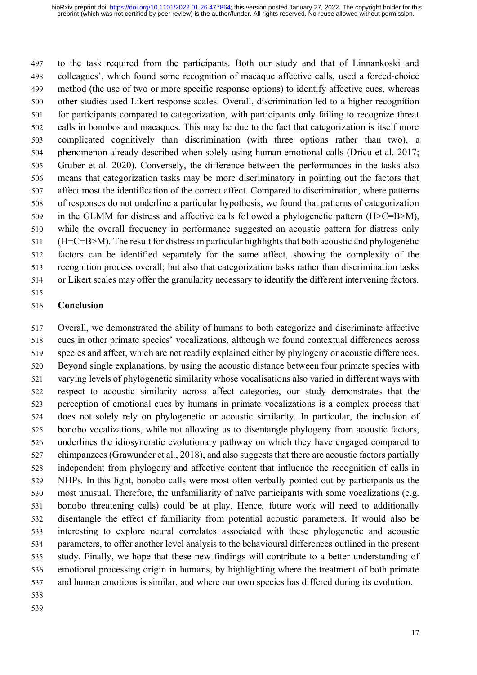to the task required from the participants. Both our study and that of Linnankoski and colleagues', which found some recognition of macaque affective calls, used a forced-choice method (the use of two or more specific response options) to identify affective cues, whereas other studies used Likert response scales. Overall, discrimination led to a higher recognition for participants compared to categorization, with participants only failing to recognize threat calls in bonobos and macaques. This may be due to the fact that categorization is itself more complicated cognitively than discrimination (with three options rather than two), a phenomenon already described when solely using human emotional calls (Dricu et al. 2017; Gruber et al. 2020). Conversely, the difference between the performances in the tasks also means that categorization tasks may be more discriminatory in pointing out the factors that affect most the identification of the correct affect. Compared to discrimination, where patterns of responses do not underline a particular hypothesis, we found that patterns of categorization in the GLMM for distress and affective calls followed a phylogenetic pattern (H>C=B>M), while the overall frequency in performance suggested an acoustic pattern for distress only (H=C=B>M). The result for distress in particular highlights that both acoustic and phylogenetic factors can be identified separately for the same affect, showing the complexity of the recognition process overall; but also that categorization tasks rather than discrimination tasks or Likert scales may offer the granularity necessary to identify the different intervening factors.

# **Conclusion**

 Overall, we demonstrated the ability of humans to both categorize and discriminate affective cues in other primate species' vocalizations, although we found contextual differences across species and affect, which are not readily explained either by phylogeny or acoustic differences. Beyond single explanations, by using the acoustic distance between four primate species with varying levels of phylogenetic similarity whose vocalisations also varied in different ways with respect to acoustic similarity across affect categories, our study demonstrates that the perception of emotional cues by humans in primate vocalizations is a complex process that does not solely rely on phylogenetic or acoustic similarity. In particular, the inclusion of bonobo vocalizations, while not allowing us to disentangle phylogeny from acoustic factors, underlines the idiosyncratic evolutionary pathway on which they have engaged compared to chimpanzees (Grawunder et al., 2018), and also suggests that there are acoustic factors partially independent from phylogeny and affective content that influence the recognition of calls in NHPs. In this light, bonobo calls were most often verbally pointed out by participants as the most unusual. Therefore, the unfamiliarity of naïve participants with some vocalizations (e.g. bonobo threatening calls) could be at play. Hence, future work will need to additionally disentangle the effect of familiarity from potential acoustic parameters. It would also be interesting to explore neural correlates associated with these phylogenetic and acoustic parameters, to offer another level analysis to the behavioural differences outlined in the present study. Finally, we hope that these new findings will contribute to a better understanding of emotional processing origin in humans, by highlighting where the treatment of both primate and human emotions is similar, and where our own species has differed during its evolution.

- 
-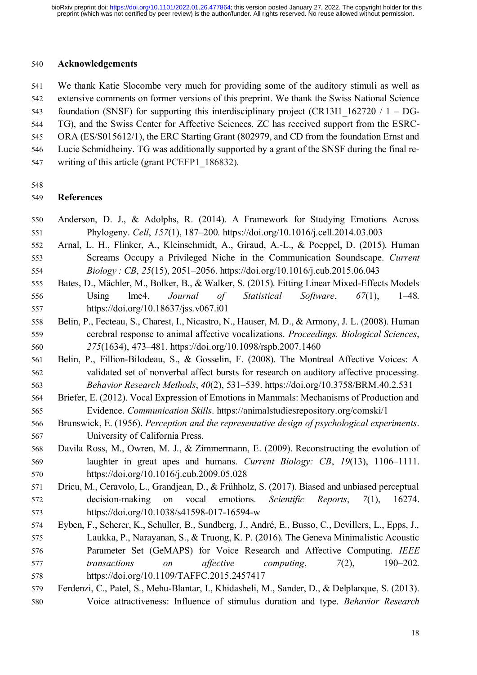#### **Acknowledgements**

 We thank Katie Slocombe very much for providing some of the auditory stimuli as well as extensive comments on former versions of this preprint. We thank the Swiss National Science 543 foundation (SNSF) for supporting this interdisciplinary project (CR13I1  $162720 / 1 - DG$ - TG), and the Swiss Center for Affective Sciences. ZC has received support from the ESRC-545 ORA (ES/S015612/1), the ERC Starting Grant (802979, and CD from the foundation Ernst and Lucie Schmidheiny. TG was additionally supported by a grant of the SNSF during the final re-547 writing of this article (grant PCEFP1 186832).

## **References**

- Anderson, D. J., & Adolphs, R. (2014). A Framework for Studying Emotions Across Phylogeny. *Cell*, *157*(1), 187–200. https://doi.org/10.1016/j.cell.2014.03.003
- Arnal, L. H., Flinker, A., Kleinschmidt, A., Giraud, A.-L., & Poeppel, D. (2015). Human Screams Occupy a Privileged Niche in the Communication Soundscape. *Current Biology : CB*, *25*(15), 2051–2056. https://doi.org/10.1016/j.cub.2015.06.043
- Bates, D., Mächler, M., Bolker, B., & Walker, S. (2015). Fitting Linear Mixed-Effects Models Using lme4. *Journal of Statistical Software*, *67*(1), 1–48. https://doi.org/10.18637/jss.v067.i01
- Belin, P., Fecteau, S., Charest, I., Nicastro, N., Hauser, M. D., & Armony, J. L. (2008). Human cerebral response to animal affective vocalizations. *Proceedings. Biological Sciences*, *275*(1634), 473–481. https://doi.org/10.1098/rspb.2007.1460
- Belin, P., Fillion-Bilodeau, S., & Gosselin, F. (2008). The Montreal Affective Voices: A validated set of nonverbal affect bursts for research on auditory affective processing. *Behavior Research Methods*, *40*(2), 531–539. https://doi.org/10.3758/BRM.40.2.531
- Briefer, E. (2012). Vocal Expression of Emotions in Mammals: Mechanisms of Production and Evidence. *Communication Skills*. https://animalstudiesrepository.org/comski/1
- Brunswick, E. (1956). *Perception and the representative design of psychological experiments*. University of California Press.
- Davila Ross, M., Owren, M. J., & Zimmermann, E. (2009). Reconstructing the evolution of laughter in great apes and humans. *Current Biology: CB*, *19*(13), 1106–1111. https://doi.org/10.1016/j.cub.2009.05.028
- Dricu, M., Ceravolo, L., Grandjean, D., & Frühholz, S. (2017). Biased and unbiased perceptual decision-making on vocal emotions. *Scientific Reports*, *7*(1), 16274. https://doi.org/10.1038/s41598-017-16594-w
- Eyben, F., Scherer, K., Schuller, B., Sundberg, J., André, E., Busso, C., Devillers, L., Epps, J., Laukka, P., Narayanan, S., & Truong, K. P. (2016). The Geneva Minimalistic Acoustic Parameter Set (GeMAPS) for Voice Research and Affective Computing. *IEEE transactions on affective computing*, *7*(2), 190–202. https://doi.org/10.1109/TAFFC.2015.2457417
- Ferdenzi, C., Patel, S., Mehu-Blantar, I., Khidasheli, M., Sander, D., & Delplanque, S. (2013). Voice attractiveness: Influence of stimulus duration and type. *Behavior Research*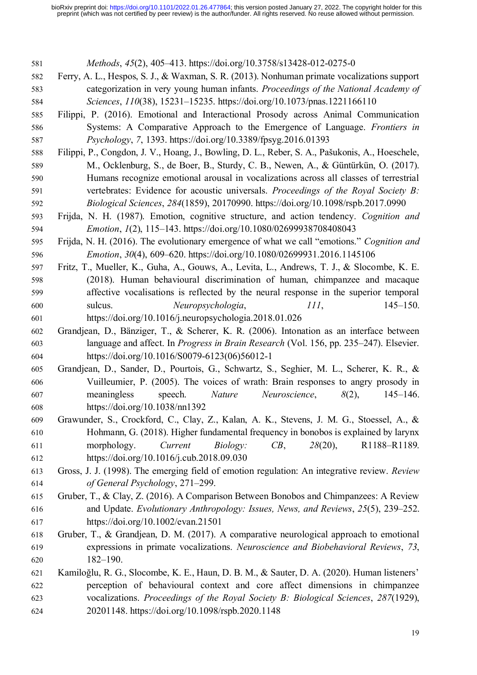| 581 | Methods, 45(2), 405-413. https://doi.org/10.3758/s13428-012-0275-0                              |
|-----|-------------------------------------------------------------------------------------------------|
| 582 | Ferry, A. L., Hespos, S. J., & Waxman, S. R. (2013). Nonhuman primate vocalizations support     |
| 583 | categorization in very young human infants. Proceedings of the National Academy of              |
| 584 | Sciences, 110(38), 15231-15235. https://doi.org/10.1073/pnas.1221166110                         |
| 585 | Filippi, P. (2016). Emotional and Interactional Prosody across Animal Communication             |
| 586 | Systems: A Comparative Approach to the Emergence of Language. Frontiers in                      |
| 587 | <i>Psychology</i> , 7, 1393. https://doi.org/10.3389/fpsyg.2016.01393                           |
| 588 | Filippi, P., Congdon, J. V., Hoang, J., Bowling, D. L., Reber, S. A., Pašukonis, A., Hoeschele, |
| 589 | M., Ocklenburg, S., de Boer, B., Sturdy, C. B., Newen, A., & Güntürkün, O. (2017).              |
| 590 | Humans recognize emotional arousal in vocalizations across all classes of terrestrial           |
| 591 | vertebrates: Evidence for acoustic universals. Proceedings of the Royal Society B:              |
| 592 | Biological Sciences, 284(1859), 20170990. https://doi.org/10.1098/rspb.2017.0990                |
| 593 | Frijda, N. H. (1987). Emotion, cognitive structure, and action tendency. Cognition and          |
| 594 | <i>Emotion, 1(2), 115-143. https://doi.org/10.1080/02699938708408043</i>                        |
| 595 | Frijda, N. H. (2016). The evolutionary emergence of what we call "emotions." Cognition and      |
| 596 | Emotion, 30(4), 609-620. https://doi.org/10.1080/02699931.2016.1145106                          |
| 597 | Fritz, T., Mueller, K., Guha, A., Gouws, A., Levita, L., Andrews, T. J., & Slocombe, K. E.      |
| 598 | (2018). Human behavioural discrimination of human, chimpanzee and macaque                       |
| 599 | affective vocalisations is reflected by the neural response in the superior temporal            |
| 600 | sulcus.<br>Neuropsychologia,<br>$145 - 150.$<br>III,                                            |
| 601 | https://doi.org/10.1016/j.neuropsychologia.2018.01.026                                          |
| 602 | Grandjean, D., Bänziger, T., & Scherer, K. R. (2006). Intonation as an interface between        |
| 603 | language and affect. In <i>Progress in Brain Research</i> (Vol. 156, pp. 235–247). Elsevier.    |
| 604 | https://doi.org/10.1016/S0079-6123(06)56012-1                                                   |
| 605 | Grandjean, D., Sander, D., Pourtois, G., Schwartz, S., Seghier, M. L., Scherer, K. R., &        |
| 606 | Vuilleumier, P. (2005). The voices of wrath: Brain responses to angry prosody in                |
| 607 | meaningless<br>speech.<br><i>Nature</i><br>Neuroscience,<br>$\delta(2)$ ,<br>$145 - 146.$       |
| 608 | https://doi.org/10.1038/nn1392                                                                  |
| 609 | Grawunder, S., Crockford, C., Clay, Z., Kalan, A. K., Stevens, J. M. G., Stoessel, A., &        |
| 610 | Hohmann, G. (2018). Higher fundamental frequency in bonobos is explained by larynx              |
| 611 | morphology.<br>Current<br>$CB$ ,<br>28(20),<br>R1188-R1189.<br><i>Biology:</i>                  |
| 612 | https://doi.org/10.1016/j.cub.2018.09.030                                                       |
| 613 | Gross, J. J. (1998). The emerging field of emotion regulation: An integrative review. Review    |
| 614 | of General Psychology, 271-299.                                                                 |
| 615 | Gruber, T., & Clay, Z. (2016). A Comparison Between Bonobos and Chimpanzees: A Review           |
| 616 | and Update. Evolutionary Anthropology: Issues, News, and Reviews, 25(5), 239-252.               |
| 617 | https://doi.org/10.1002/evan.21501                                                              |
| 618 | Gruber, T., & Grandjean, D. M. (2017). A comparative neurological approach to emotional         |
| 619 | expressions in primate vocalizations. Neuroscience and Biobehavioral Reviews, 73,               |
| 620 | $182 - 190.$                                                                                    |
| 621 | Kamiloğlu, R. G., Slocombe, K. E., Haun, D. B. M., & Sauter, D. A. (2020). Human listeners'     |
| 622 | perception of behavioural context and core affect dimensions in chimpanzee                      |
| 623 | vocalizations. Proceedings of the Royal Society B: Biological Sciences, 287(1929),              |
| 624 | 20201148. https://doi.org/10.1098/rspb.2020.1148                                                |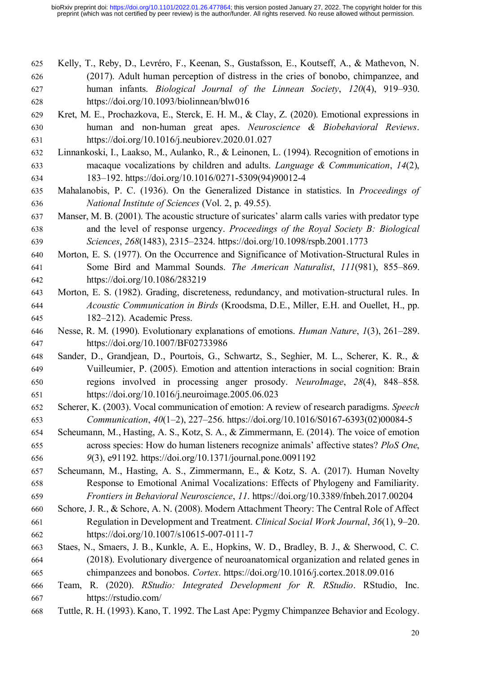- Kelly, T., Reby, D., Levréro, F., Keenan, S., Gustafsson, E., Koutseff, A., & Mathevon, N. (2017). Adult human perception of distress in the cries of bonobo, chimpanzee, and human infants. *Biological Journal of the Linnean Society*, *120*(4), 919–930. https://doi.org/10.1093/biolinnean/blw016
- Kret, M. E., Prochazkova, E., Sterck, E. H. M., & Clay, Z. (2020). Emotional expressions in human and non-human great apes. *Neuroscience & Biobehavioral Reviews*. https://doi.org/10.1016/j.neubiorev.2020.01.027
- Linnankoski, I., Laakso, M., Aulanko, R., & Leinonen, L. (1994). Recognition of emotions in macaque vocalizations by children and adults. *Language & Communication*, *14*(2), 183–192. https://doi.org/10.1016/0271-5309(94)90012-4
- Mahalanobis, P. C. (1936). On the Generalized Distance in statistics. In *Proceedings of National Institute of Sciences* (Vol. 2, p. 49.55).
- Manser, M. B. (2001). The acoustic structure of suricates' alarm calls varies with predator type and the level of response urgency. *Proceedings of the Royal Society B: Biological Sciences*, *268*(1483), 2315–2324. https://doi.org/10.1098/rspb.2001.1773
- Morton, E. S. (1977). On the Occurrence and Significance of Motivation-Structural Rules in Some Bird and Mammal Sounds. *The American Naturalist*, *111*(981), 855–869. https://doi.org/10.1086/283219
- Morton, E. S. (1982). Grading, discreteness, redundancy, and motivation-structural rules. In *Acoustic Communication in Birds* (Kroodsma, D.E., Miller, E.H. and Ouellet, H., pp. 182–212). Academic Press.
- Nesse, R. M. (1990). Evolutionary explanations of emotions. *Human Nature*, *1*(3), 261–289. https://doi.org/10.1007/BF02733986
- Sander, D., Grandjean, D., Pourtois, G., Schwartz, S., Seghier, M. L., Scherer, K. R., & Vuilleumier, P. (2005). Emotion and attention interactions in social cognition: Brain regions involved in processing anger prosody. *NeuroImage*, *28*(4), 848–858. https://doi.org/10.1016/j.neuroimage.2005.06.023
- Scherer, K. (2003). Vocal communication of emotion: A review of research paradigms. *Speech Communication*, *40*(1–2), 227–256. https://doi.org/10.1016/S0167-6393(02)00084-5
- Scheumann, M., Hasting, A. S., Kotz, S. A., & Zimmermann, E. (2014). The voice of emotion across species: How do human listeners recognize animals' affective states? *PloS One*, *9*(3), e91192. https://doi.org/10.1371/journal.pone.0091192
- Scheumann, M., Hasting, A. S., Zimmermann, E., & Kotz, S. A. (2017). Human Novelty Response to Emotional Animal Vocalizations: Effects of Phylogeny and Familiarity. *Frontiers in Behavioral Neuroscience*, *11*. https://doi.org/10.3389/fnbeh.2017.00204
- Schore, J. R., & Schore, A. N. (2008). Modern Attachment Theory: The Central Role of Affect Regulation in Development and Treatment. *Clinical Social Work Journal*, *36*(1), 9–20. https://doi.org/10.1007/s10615-007-0111-7
- Staes, N., Smaers, J. B., Kunkle, A. E., Hopkins, W. D., Bradley, B. J., & Sherwood, C. C. (2018). Evolutionary divergence of neuroanatomical organization and related genes in chimpanzees and bonobos. *Cortex*. https://doi.org/10.1016/j.cortex.2018.09.016
- Team, R. (2020). *RStudio: Integrated Development for R. RStudio*. RStudio, Inc. https://rstudio.com/
- Tuttle, R. H. (1993). Kano, T. 1992. The Last Ape: Pygmy Chimpanzee Behavior and Ecology.